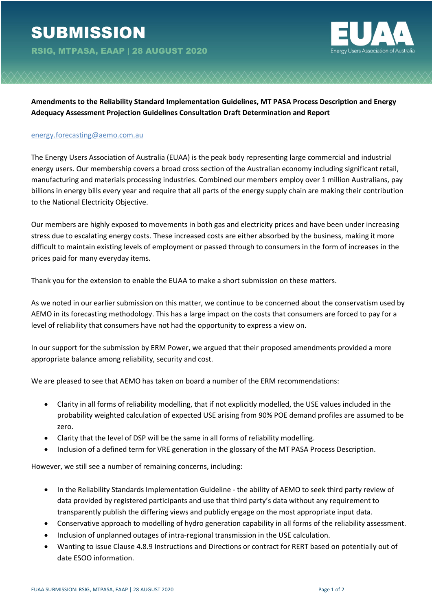

**Amendments to the Reliability Standard Implementation Guidelines, MT PASA Process Description and Energy Adequacy Assessment Projection Guidelines Consultation Draft Determination and Report**

## energy.forecasting@aemo.com.au

The Energy Users Association of Australia (EUAA) is the peak body representing large commercial and industrial energy users. Our membership covers a broad cross section of the Australian economy including significant retail, manufacturing and materials processing industries. Combined our members employ over 1 million Australians, pay billions in energy bills every year and require that all parts of the energy supply chain are making their contribution to the National Electricity Objective.

Our members are highly exposed to movements in both gas and electricity prices and have been under increasing stress due to escalating energy costs. These increased costs are either absorbed by the business, making it more difficult to maintain existing levels of employment or passed through to consumers in the form of increases in the prices paid for many everyday items.

Thank you for the extension to enable the EUAA to make a short submission on these matters.

As we noted in our earlier submission on this matter, we continue to be concerned about the conservatism used by AEMO in its forecasting methodology. This has a large impact on the costs that consumers are forced to pay for a level of reliability that consumers have not had the opportunity to express a view on.

In our support for the submission by ERM Power, we argued that their proposed amendments provided a more appropriate balance among reliability, security and cost.

We are pleased to see that AEMO has taken on board a number of the ERM recommendations:

- Clarity in all forms of reliability modelling, that if not explicitly modelled, the USE values included in the probability weighted calculation of expected USE arising from 90% POE demand profiles are assumed to be zero.
- Clarity that the level of DSP will be the same in all forms of reliability modelling.
- Inclusion of a defined term for VRE generation in the glossary of the MT PASA Process Description.

However, we still see a number of remaining concerns, including:

- In the Reliability Standards Implementation Guideline the ability of AEMO to seek third party review of data provided by registered participants and use that third party's data without any requirement to transparently publish the differing views and publicly engage on the most appropriate input data.
- Conservative approach to modelling of hydro generation capability in all forms of the reliability assessment.
- Inclusion of unplanned outages of intra-regional transmission in the USE calculation.
- Wanting to issue Clause 4.8.9 Instructions and Directions or contract for RERT based on potentially out of date ESOO information.